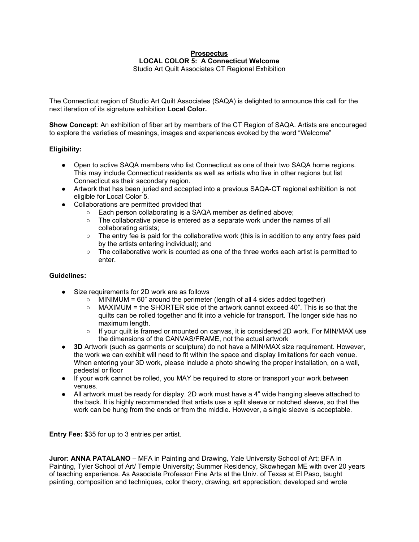### **Prospectus LOCAL COLOR 5: A Connecticut Welcome** Studio Art Quilt Associates CT Regional Exhibition

The Connecticut region of Studio Art Quilt Associates (SAQA) is delighted to announce this call for the next iteration of its signature exhibition **Local Color.**

**Show Concept**: An exhibition of fiber art by members of the CT Region of SAQA. Artists are encouraged to explore the varieties of meanings, images and experiences evoked by the word "Welcome"

# **Eligibility:**

- Open to active SAQA members who list Connecticut as one of their two SAQA home regions. This may include Connecticut residents as well as artists who live in other regions but list Connecticut as their secondary region.
- Artwork that has been juried and accepted into a previous SAQA-CT regional exhibition is not eligible for Local Color 5.
- Collaborations are permitted provided that
	- Each person collaborating is a SAQA member as defined above;
	- $\circ$  The collaborative piece is entered as a separate work under the names of all collaborating artists;
	- The entry fee is paid for the collaborative work (this is in addition to any entry fees paid by the artists entering individual); and
	- The collaborative work is counted as one of the three works each artist is permitted to enter.

## **Guidelines:**

- Size requirements for 2D work are as follows
	- $\circ$  MINIMUM = 60" around the perimeter (length of all 4 sides added together)
		- $\circ$  MAXIMUM = the SHORTER side of the artwork cannot exceed 40". This is so that the quilts can be rolled together and fit into a vehicle for transport. The longer side has no maximum length.
		- If your quilt is framed or mounted on canvas, it is considered 2D work. For MIN/MAX use the dimensions of the CANVAS/FRAME, not the actual artwork
- **3D** Artwork (such as garments or sculpture) do not have a MIN/MAX size requirement. However, the work we can exhibit will need to fit within the space and display limitations for each venue. When entering your 3D work, please include a photo showing the proper installation, on a wall, pedestal or floor
- If your work cannot be rolled, you MAY be required to store or transport your work between venues.
- All artwork must be ready for display. 2D work must have a 4" wide hanging sleeve attached to the back. It is highly recommended that artists use a split sleeve or notched sleeve, so that the work can be hung from the ends or from the middle. However, a single sleeve is acceptable.

**Entry Fee:** \$35 for up to 3 entries per artist.

**Juror: ANNA PATALANO** – MFA in Painting and Drawing, Yale University School of Art; BFA in Painting, Tyler School of Art/ Temple University; Summer Residency, Skowhegan ME with over 20 years of teaching experience. As Associate Professor Fine Arts at the Univ. of Texas at El Paso, taught painting, composition and techniques, color theory, drawing, art appreciation; developed and wrote